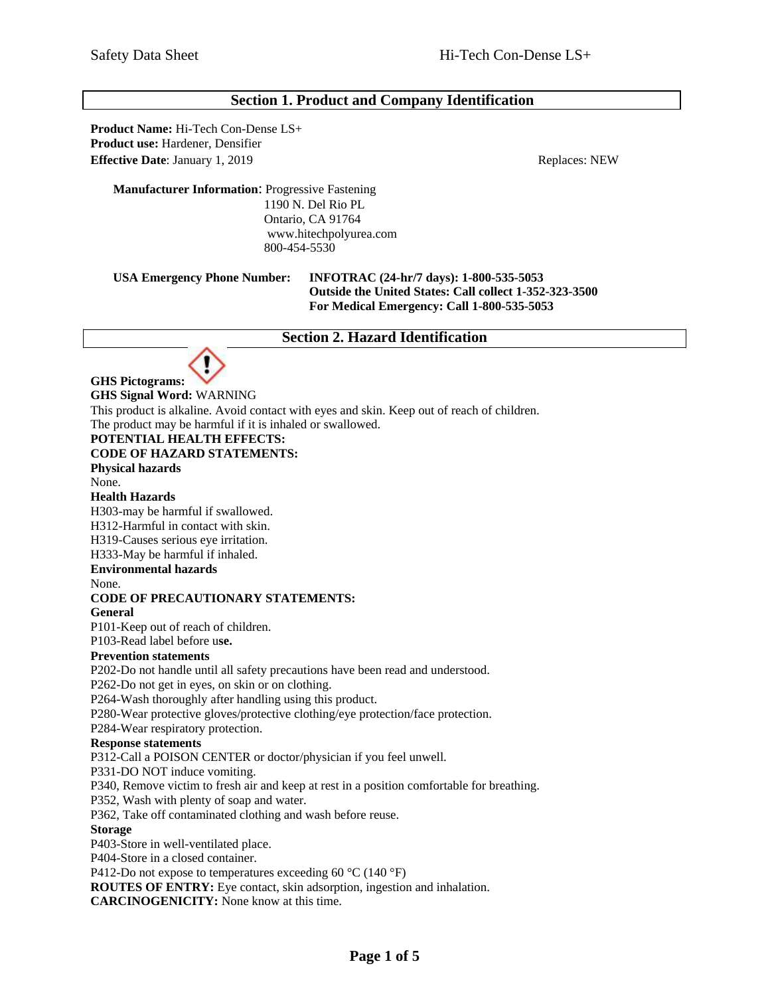# **Section 1. Product and Company Identification**

**Product Name:** Hi-Tech Con-Dense LS+ **Product use:** Hardener, Densifier **Effective Date**: January 1, 2019 Replaces: NEW

#### **Manufacturer Information**: Progressive Fastening 1190 N. Del Rio PL Ontario, CA 91764 www.hitechpolyurea.com 800-454-5530

#### **USA Emergency Phone Number: INFOTRAC (24-hr/7 days): 1-800-535-5053 Outside the United States: Call collect 1-352-323-3500 For Medical Emergency: Call 1-800-535-5053**

## **Section 2. Hazard Identification**



## **GHS Signal Word:** WARNING

This product is alkaline. Avoid contact with eyes and skin. Keep out of reach of children.

The product may be harmful if it is inhaled or swallowed.

## **POTENTIAL HEALTH EFFECTS:**

**CODE OF HAZARD STATEMENTS:**

#### **Physical hazards**

None.

#### **Health Hazards**

H303-may be harmful if swallowed. H312-Harmful in contact with skin.

H319-Causes serious eye irritation.

H333-May be harmful if inhaled.

#### **Environmental hazards**

None.

# **CODE OF PRECAUTIONARY STATEMENTS:**

**General**

P101-Keep out of reach of children.

P103-Read label before u**se.**

# **Prevention statements**

P202-Do not handle until all safety precautions have been read and understood.

P262-Do not get in eyes, on skin or on clothing.

P264-Wash thoroughly after handling using this product.

P280-Wear protective gloves/protective clothing/eye protection/face protection.

P284-Wear respiratory protection.

#### **Response statements**

P312-Call a POISON CENTER or doctor/physician if you feel unwell.

P331-DO NOT induce vomiting.

P340, Remove victim to fresh air and keep at rest in a position comfortable for breathing.

P352, Wash with plenty of soap and water.

P362, Take off contaminated clothing and wash before reuse.

#### **Storage**

P403-Store in well-ventilated place.

P404-Store in a closed container.

P412-Do not expose to temperatures exceeding 60 °C (140 °F)

**ROUTES OF ENTRY:** Eye contact, skin adsorption, ingestion and inhalation.

**CARCINOGENICITY:** None know at this time.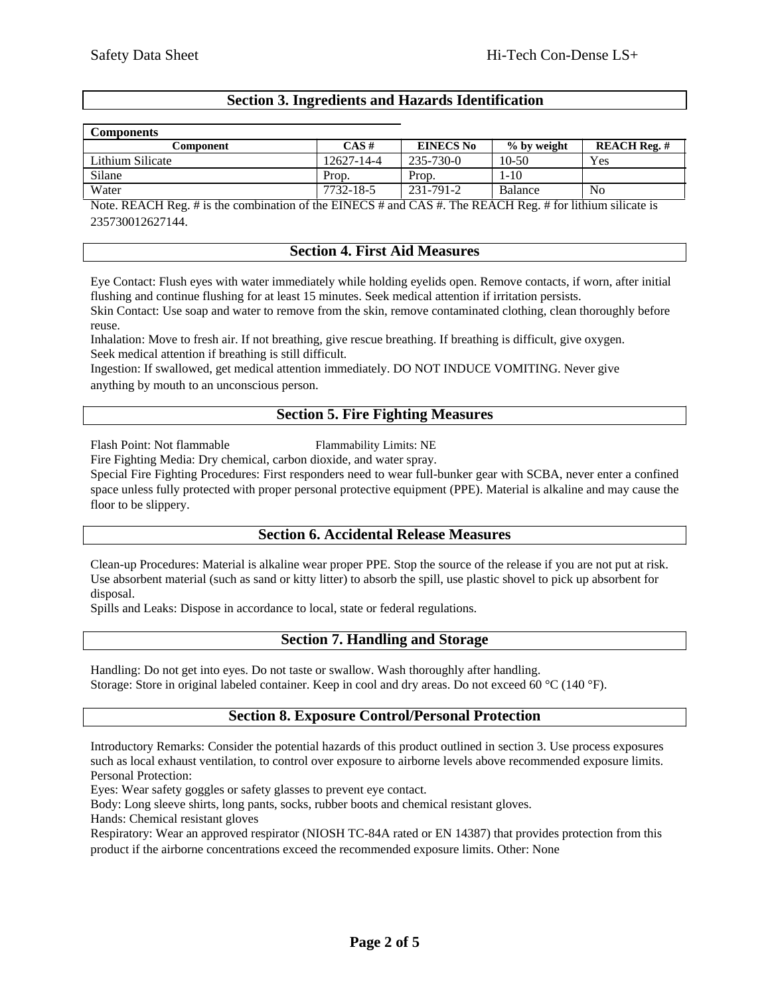# **Section 3. Ingredients and Hazards Identification**

| <b>Components</b> |  |
|-------------------|--|

| <b>Components</b>                                                                                                                                                                                                                                |            |                  |             |                     |
|--------------------------------------------------------------------------------------------------------------------------------------------------------------------------------------------------------------------------------------------------|------------|------------------|-------------|---------------------|
| Component                                                                                                                                                                                                                                        | $CAS \#$   | <b>EINECS No</b> | % by weight | <b>REACH Reg. #</b> |
| Lithium Silicate                                                                                                                                                                                                                                 | 12627-14-4 | 235-730-0        | $10-50$     | Yes                 |
| Silane                                                                                                                                                                                                                                           | Prop.      | Prop.            | 1-10        |                     |
| Water                                                                                                                                                                                                                                            | 7732-18-5  | 231-791-2        | Balance     | No                  |
| <br>$\mathbf{r}$ , $\mathbf{r}$ , $\mathbf{r}$ , $\mathbf{r}$ , $\mathbf{r}$ , $\mathbf{r}$ , $\mathbf{r}$ , $\mathbf{r}$ , $\mathbf{r}$ , $\mathbf{r}$<br>$\sim$ $\sim$<br>-------<br>.<br>.<br>$\cdots$<br>.<br>$\sim$ $\sim$<br>$\frac{1}{2}$ |            |                  |             |                     |

Note. REACH Reg. # is the combination of the EINECS # and CAS #. The REACH Reg. # for lithium silicate is 235730012627144.

#### **Section 4. First Aid Measures**

Eye Contact: Flush eyes with water immediately while holding eyelids open. Remove contacts, if worn, after initial flushing and continue flushing for at least 15 minutes. Seek medical attention if irritation persists. Skin Contact: Use soap and water to remove from the skin, remove contaminated clothing, clean thoroughly before

reuse.

Inhalation: Move to fresh air. If not breathing, give rescue breathing. If breathing is difficult, give oxygen. Seek medical attention if breathing is still difficult.

Ingestion: If swallowed, get medical attention immediately. DO NOT INDUCE VOMITING. Never give anything by mouth to an unconscious person.

## **Section 5. Fire Fighting Measures**

Flash Point: Not flammable Flammability Limits: NE

Fire Fighting Media: Dry chemical, carbon dioxide, and water spray.

Special Fire Fighting Procedures: First responders need to wear full-bunker gear with SCBA, never enter a confined space unless fully protected with proper personal protective equipment (PPE). Material is alkaline and may cause the floor to be slippery.

## **Section 6. Accidental Release Measures**

Clean-up Procedures: Material is alkaline wear proper PPE. Stop the source of the release if you are not put at risk. Use absorbent material (such as sand or kitty litter) to absorb the spill, use plastic shovel to pick up absorbent for disposal.

Spills and Leaks: Dispose in accordance to local, state or federal regulations.

# **Section 7. Handling and Storage**

Handling: Do not get into eyes. Do not taste or swallow. Wash thoroughly after handling. Storage: Store in original labeled container. Keep in cool and dry areas. Do not exceed 60 °C (140 °F).

# **Section 8. Exposure Control/Personal Protection**

Introductory Remarks: Consider the potential hazards of this product outlined in section 3. Use process exposures such as local exhaust ventilation, to control over exposure to airborne levels above recommended exposure limits. Personal Protection:

Eyes: Wear safety goggles or safety glasses to prevent eye contact.

Body: Long sleeve shirts, long pants, socks, rubber boots and chemical resistant gloves.

Hands: Chemical resistant gloves

Respiratory: Wear an approved respirator (NIOSH TC-84A rated or EN 14387) that provides protection from this product if the airborne concentrations exceed the recommended exposure limits. Other: None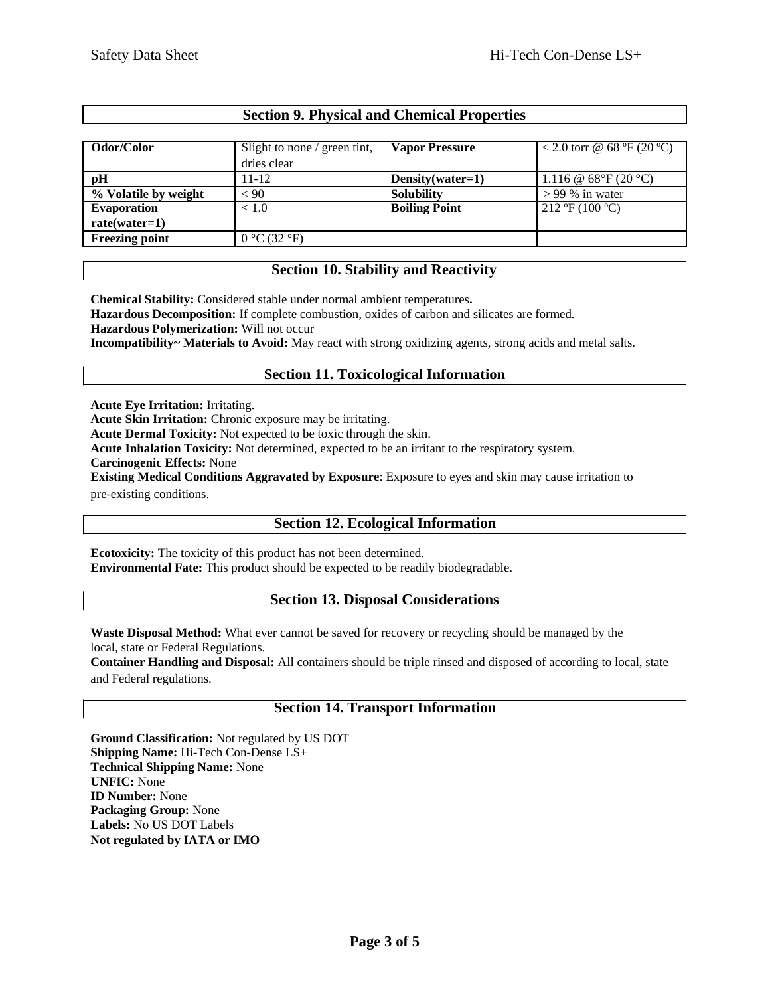# **Section 9. Physical and Chemical Properties**

| Odor/Color            | Slight to none / green tint, | <b>Vapor Pressure</b> | < 2.0 torr @ 68 °F (20 °C)                     |
|-----------------------|------------------------------|-----------------------|------------------------------------------------|
|                       | dries clear                  |                       |                                                |
| pH                    | $11 - 12$                    | Density(water=1)      | 1.116 @ $68^{\circ}F(20^{\circ}C)$             |
| % Volatile by weight  | < 90                         | <b>Solubility</b>     | $> 99\%$ in water                              |
| <b>Evaporation</b>    | < 1.0                        | <b>Boiling Point</b>  | $212 \text{ }^{\circ}F(100 \text{ }^{\circ}C)$ |
| $rate(water=1)$       |                              |                       |                                                |
| <b>Freezing point</b> | 0 °C (32 °F)                 |                       |                                                |

# **Section 10. Stability and Reactivity**

**Chemical Stability:** Considered stable under normal ambient temperatures**.**

**Hazardous Decomposition:** If complete combustion, oxides of carbon and silicates are formed.

**Hazardous Polymerization:** Will not occur

**Incompatibility~ Materials to Avoid:** May react with strong oxidizing agents, strong acids and metal salts.

# **Section 11. Toxicological Information**

**Acute Eye Irritation:** Irritating.

**Acute Skin Irritation:** Chronic exposure may be irritating.

**Acute Dermal Toxicity:** Not expected to be toxic through the skin.

**Acute Inhalation Toxicity:** Not determined, expected to be an irritant to the respiratory system.

**Carcinogenic Effects:** None

**Existing Medical Conditions Aggravated by Exposure**: Exposure to eyes and skin may cause irritation to pre-existing conditions.

# **Section 12. Ecological Information**

**Ecotoxicity:** The toxicity of this product has not been determined. **Environmental Fate:** This product should be expected to be readily biodegradable.

## **Section 13. Disposal Considerations**

**Waste Disposal Method:** What ever cannot be saved for recovery or recycling should be managed by the local, state or Federal Regulations.

**Container Handling and Disposal:** All containers should be triple rinsed and disposed of according to local, state and Federal regulations.

# **Section 14. Transport Information**

**Ground Classification:** Not regulated by US DOT **Shipping Name:** Hi-Tech Con-Dense LS+ **Technical Shipping Name:** None **UNFIC:** None **ID Number:** None **Packaging Group:** None **Labels:** No US DOT Labels **Not regulated by IATA or IMO**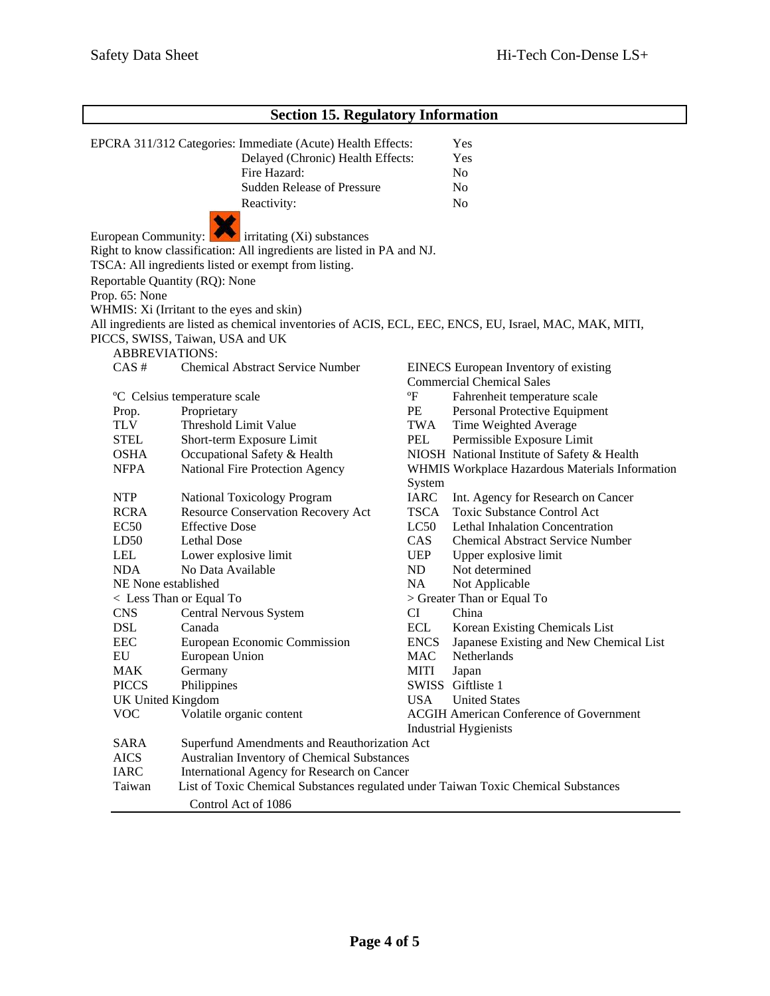| <b>Section 15. Regulatory Information</b> |                                                                                                         |             |                                                 |  |
|-------------------------------------------|---------------------------------------------------------------------------------------------------------|-------------|-------------------------------------------------|--|
|                                           | EPCRA 311/312 Categories: Immediate (Acute) Health Effects:                                             |             | Yes                                             |  |
|                                           | Delayed (Chronic) Health Effects:                                                                       | Yes         |                                                 |  |
|                                           | Fire Hazard:                                                                                            |             | No                                              |  |
|                                           | <b>Sudden Release of Pressure</b>                                                                       |             | No                                              |  |
|                                           |                                                                                                         |             | N <sub>o</sub>                                  |  |
|                                           | Reactivity:                                                                                             |             |                                                 |  |
| European Community:                       | $\blacksquare$ irritating (Xi) substances                                                               |             |                                                 |  |
|                                           | Right to know classification: All ingredients are listed in PA and NJ.                                  |             |                                                 |  |
|                                           | TSCA: All ingredients listed or exempt from listing.                                                    |             |                                                 |  |
|                                           | Reportable Quantity (RQ): None                                                                          |             |                                                 |  |
| Prop. 65: None                            |                                                                                                         |             |                                                 |  |
|                                           | WHMIS: Xi (Irritant to the eyes and skin)                                                               |             |                                                 |  |
|                                           | All ingredients are listed as chemical inventories of ACIS, ECL, EEC, ENCS, EU, Israel, MAC, MAK, MITI, |             |                                                 |  |
|                                           | PICCS, SWISS, Taiwan, USA and UK                                                                        |             |                                                 |  |
|                                           | <b>ABBREVIATIONS:</b>                                                                                   |             |                                                 |  |
| CAS#                                      | <b>Chemical Abstract Service Number</b>                                                                 |             | EINECS European Inventory of existing           |  |
|                                           |                                                                                                         |             | <b>Commercial Chemical Sales</b>                |  |
|                                           | °C Celsius temperature scale                                                                            | °F          | Fahrenheit temperature scale                    |  |
| Prop.                                     | Proprietary                                                                                             | PE          | Personal Protective Equipment                   |  |
| <b>TLV</b>                                | Threshold Limit Value                                                                                   | TWA         | Time Weighted Average                           |  |
| <b>STEL</b>                               | Short-term Exposure Limit                                                                               | PEL         | Permissible Exposure Limit                      |  |
| <b>OSHA</b>                               | Occupational Safety & Health                                                                            |             | NIOSH National Institute of Safety & Health     |  |
| <b>NFPA</b>                               | National Fire Protection Agency                                                                         | System      | WHMIS Workplace Hazardous Materials Information |  |
| <b>NTP</b>                                | National Toxicology Program                                                                             | IARC        | Int. Agency for Research on Cancer              |  |
| <b>RCRA</b>                               | Resource Conservation Recovery Act                                                                      | TSCA        | <b>Toxic Substance Control Act</b>              |  |
| EC <sub>50</sub>                          | <b>Effective Dose</b>                                                                                   | LC50        | <b>Lethal Inhalation Concentration</b>          |  |
| LD50                                      | Lethal Dose                                                                                             | CAS         | <b>Chemical Abstract Service Number</b>         |  |
| LEL                                       | Lower explosive limit                                                                                   | <b>UEP</b>  | Upper explosive limit                           |  |
| <b>NDA</b>                                | No Data Available                                                                                       | ND          | Not determined                                  |  |
|                                           | NE None established<br>NA<br>Not Applicable                                                             |             |                                                 |  |
|                                           | < Less Than or Equal To                                                                                 |             | > Greater Than or Equal To                      |  |
| <b>CNS</b>                                | Central Nervous System                                                                                  | CI          | China                                           |  |
| <b>DSL</b>                                | Canada                                                                                                  | ECL         | Korean Existing Chemicals List                  |  |
| <b>EEC</b>                                | European Economic Commission                                                                            | <b>ENCS</b> | Japanese Existing and New Chemical List         |  |
| EU                                        | European Union                                                                                          | <b>MAC</b>  | Netherlands                                     |  |
| <b>MAK</b>                                | Germany                                                                                                 | MITI        | Japan                                           |  |
| <b>PICCS</b>                              | Philippines                                                                                             |             | SWISS Giftliste 1                               |  |
|                                           | <b>UK United Kingdom</b>                                                                                | <b>USA</b>  | <b>United States</b>                            |  |
| <b>VOC</b>                                | Volatile organic content                                                                                |             | <b>ACGIH American Conference of Government</b>  |  |
| SARA                                      | <b>Industrial Hygienists</b><br>Superfund Amendments and Reauthorization Act                            |             |                                                 |  |
|                                           | Australian Inventory of Chemical Substances<br><b>AICS</b>                                              |             |                                                 |  |
| <b>IARC</b>                               | International Agency for Research on Cancer                                                             |             |                                                 |  |
| Taiwan                                    | List of Toxic Chemical Substances regulated under Taiwan Toxic Chemical Substances                      |             |                                                 |  |
|                                           | Control Act of 1086                                                                                     |             |                                                 |  |